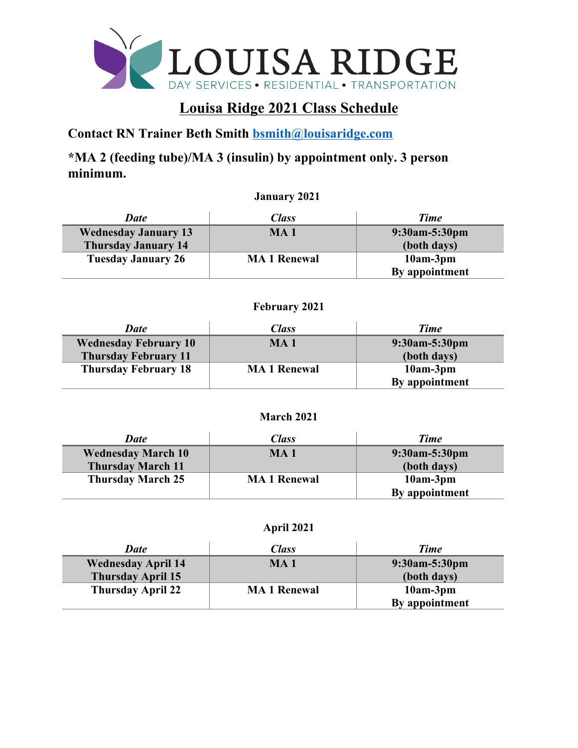

## **Louisa Ridge 2021 Class Schedule**

**Contact RN Trainer Beth Smith [bsmith@louisaridge.com](mailto:bsmith@louisaridge.com)**

**\*MA 2 (feeding tube)/MA 3 (insulin) by appointment only. 3 person minimum.** 

**January 2021** 

| Date                        | Class               | <b>Time</b>          |
|-----------------------------|---------------------|----------------------|
| <b>Wednesday January 13</b> | <b>MA1</b>          | $9:30$ am $-5:30$ pm |
| <b>Thursday January 14</b>  |                     | (both days)          |
| <b>Tuesday January 26</b>   | <b>MA 1 Renewal</b> | $10am-3pm$           |
|                             |                     | By appointment       |

**February 2021**

| Date                         | Class               | <b>Time</b>    |
|------------------------------|---------------------|----------------|
| <b>Wednesday February 10</b> | MA <sub>1</sub>     | 9:30am-5:30pm  |
| <b>Thursday February 11</b>  |                     | (both days)    |
| <b>Thursday February 18</b>  | <b>MA 1 Renewal</b> | $10am-3pm$     |
|                              |                     | By appointment |

## **March 2021**

| <b>Date</b>               | Class               | <b>Time</b>    |
|---------------------------|---------------------|----------------|
| <b>Wednesday March 10</b> | <b>MA1</b>          | 9:30am-5:30pm  |
| <b>Thursday March 11</b>  |                     | (both days)    |
| <b>Thursday March 25</b>  | <b>MA 1 Renewal</b> | $10am-3pm$     |
|                           |                     | By appointment |

**April 2021**

| <b>Date</b>               | Class               | <b>Time</b>    |
|---------------------------|---------------------|----------------|
| <b>Wednesday April 14</b> | <b>MA1</b>          | 9:30am-5:30pm  |
| <b>Thursday April 15</b>  |                     | (both days)    |
| <b>Thursday April 22</b>  | <b>MA 1 Renewal</b> | $10am-3pm$     |
|                           |                     | By appointment |